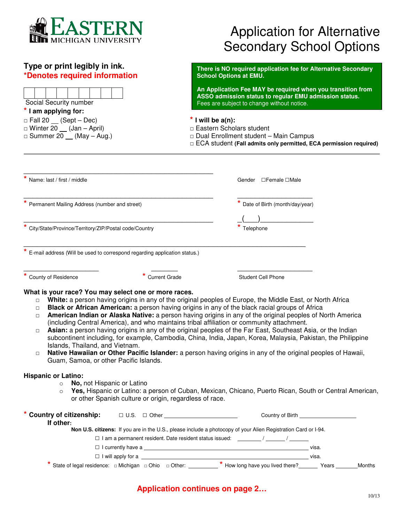

## **Type or print legibly in ink. \*Denotes required information**

 Social Security number **\* I am applying for:** 

□ Winter  $\overline{20}$  (Jan – April)<br>□ Summer 20 (May – Aug.)

| <b>Application for Alternative</b> |
|------------------------------------|
| <b>Secondary School Options</b>    |

**There is NO required application fee for Alternative Secondary School Options at EMU.** 

**An Application Fee MAY be required when you transition from ASSO admission status to regular EMU admission status.**  Fees are subject to change without notice.

□ Fall 20 (Sept – Dec) **\* I will be a(n):**

- □ Dual Enrollment student Main Campus
- □ ECA student **(Fall admits only permitted, ECA permission required)**

| Name: last / first / middle                                                                             |                                                                           | Gender □Female □Male                                                                                                                                                                                                                                                                                                                                                                                                                                                                                                                                     |
|---------------------------------------------------------------------------------------------------------|---------------------------------------------------------------------------|----------------------------------------------------------------------------------------------------------------------------------------------------------------------------------------------------------------------------------------------------------------------------------------------------------------------------------------------------------------------------------------------------------------------------------------------------------------------------------------------------------------------------------------------------------|
| Permanent Mailing Address (number and street)                                                           |                                                                           | Date of Birth (month/day/year)                                                                                                                                                                                                                                                                                                                                                                                                                                                                                                                           |
|                                                                                                         |                                                                           |                                                                                                                                                                                                                                                                                                                                                                                                                                                                                                                                                          |
| * City/State/Province/Territory/ZIP/Postal code/Country                                                 |                                                                           | Telephone                                                                                                                                                                                                                                                                                                                                                                                                                                                                                                                                                |
|                                                                                                         | E-mail address (Will be used to correspond regarding application status.) |                                                                                                                                                                                                                                                                                                                                                                                                                                                                                                                                                          |
| County of Residence                                                                                     | * Current Grade                                                           | <b>Student Cell Phone</b>                                                                                                                                                                                                                                                                                                                                                                                                                                                                                                                                |
| $\Box$<br>$\Box$<br>Islands, Thailand, and Vietnam.<br>$\Box$<br>Guam, Samoa, or other Pacific Islands. |                                                                           | American Indian or Alaska Native: a person having origins in any of the original peoples of North America<br>(including Central America), and who maintains tribal affiliation or community attachment.<br>Asian: a person having origins in any of the original peoples of the Far East, Southeast Asia, or the Indian<br>subcontinent including, for example, Cambodia, China, India, Japan, Korea, Malaysia, Pakistan, the Philippine<br>Native Hawaiian or Other Pacific Islander: a person having origins in any of the original peoples of Hawaii, |
| <b>Hispanic or Latino:</b><br>No, not Hispanic or Latino<br>$\circ$<br>$\Omega$                         | or other Spanish culture or origin, regardless of race.                   | Yes, Hispanic or Latino: a person of Cuban, Mexican, Chicano, Puerto Rican, South or Central American,                                                                                                                                                                                                                                                                                                                                                                                                                                                   |
| If other:                                                                                               |                                                                           |                                                                                                                                                                                                                                                                                                                                                                                                                                                                                                                                                          |
|                                                                                                         |                                                                           | Non U.S. citizens: If you are in the U.S., please include a photocopy of your Alien Registration Card or I-94.                                                                                                                                                                                                                                                                                                                                                                                                                                           |
|                                                                                                         |                                                                           |                                                                                                                                                                                                                                                                                                                                                                                                                                                                                                                                                          |
|                                                                                                         |                                                                           | I currently have a visa.                                                                                                                                                                                                                                                                                                                                                                                                                                                                                                                                 |
|                                                                                                         |                                                                           |                                                                                                                                                                                                                                                                                                                                                                                                                                                                                                                                                          |
|                                                                                                         |                                                                           | State of legal residence: □ Michigan □ Ohio □ Other: ★ How long have you lived there? Years Years<br>Months                                                                                                                                                                                                                                                                                                                                                                                                                                              |

# **Application continues on page 2…**